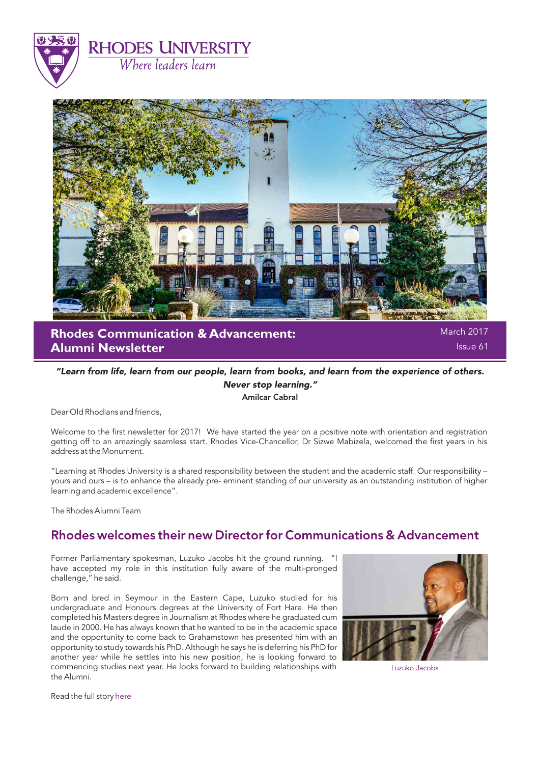



**Rhodes Communication & Advancement: Alumni Newsletter**

March 2017 Issue 61

### "Learn from life, learn from our people, learn from books, and learn from the experience of others. Never stop learning." Amilcar Cabral

Dear Old Rhodians and friends,

Welcome to the first newsletter for 2017! We have started the year on a positive note with orientation and registration getting off to an amazingly seamless start. Rhodes Vice-Chancellor, Dr Sizwe Mabizela, welcomed the first years in his address at the Monument.

"Learning at Rhodes University is a shared responsibility between the student and the academic staff. Our responsibility – yours and ours – is to enhance the already pre- eminent standing of our university as an outstanding institution of higher learning and academic excellence".

The Rhodes Alumni Team

## Rhodes welcomes their new Director for Communications & Advancement

Former Parliamentary spokesman, Luzuko Jacobs hit the ground running. "I have accepted my role in this institution fully aware of the multi-pronged challenge," he said.

Born and bred in Seymour in the Eastern Cape, Luzuko studied for his undergraduate and Honours degrees at the University of Fort Hare. He then completed his Masters degree in Journalism at Rhodes where he graduated cum laude in 2000. He has always known that he wanted to be in the academic space and the opportunity to come back to Grahamstown has presented him with an opportunity to study towards his PhD. Although he says he is deferring his PhD for another year while he settles into his new position, he is looking forward to commencing studies next year. He looks forward to building relationships with the Alumni.



Luzuko Jacobs

Read the full story [here](http://www.ru.ac.za/news/latestnews/rhodeswelcomesnewdirectorforcommunicationsadvancement.html)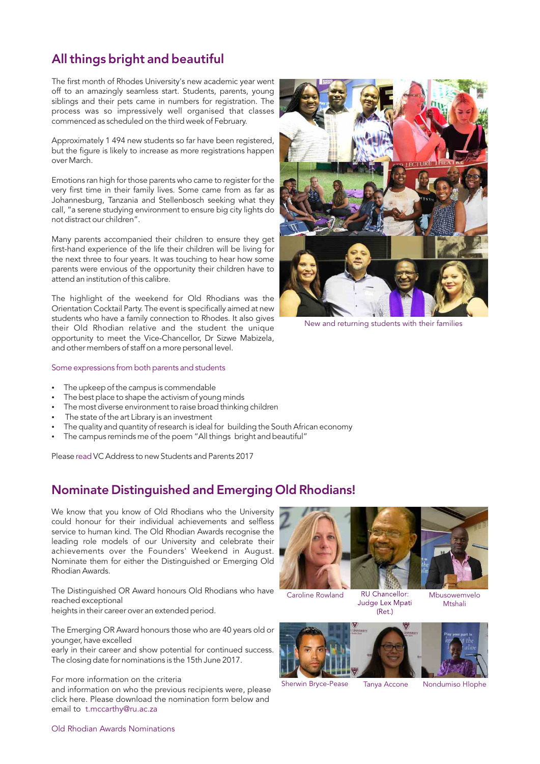## All things bright and beautiful

The first month of Rhodes University's new academic year went off to an amazingly seamless start. Students, parents, young siblings and their pets came in numbers for registration. The process was so impressively well organised that classes commenced as scheduled on the third week of February.

Approximately 1 494 new students so far have been registered, but the figure is likely to increase as more registrations happen over March.

Emotions ran high for those parents who came to register for the very first time in their family lives. Some came from as far as Johannesburg, Tanzania and Stellenbosch seeking what they call, "a serene studying environment to ensure big city lights do not distract our children".

Many parents accompanied their children to ensure they get first-hand experience of the life their children will be living for the next three to four years. It was touching to hear how some parents were envious of the opportunity their children have to attend an institution of this calibre.

The highlight of the weekend for Old Rhodians was the Orientation Cocktail Party. The event is specifically aimed at new students who have a family connection to Rhodes. It also gives their Old Rhodian relative and the student the unique opportunity to meet the Vice-Chancellor, Dr Sizwe Mabizela, and other members of staff on a more personal level.

#### Some expressions from both parents and students

- The upkeep of the campus is commendable
- The best place to shape the activism of young minds
- The most diverse environment to raise broad thinking children
- The state of the art Library is an investment
- The quality and quantity of research is ideal for building the South African economy
- The campus reminds me of the poem "All things bright and beautiful"

Pleas[e read](http://www.ru.ac.za/news/latestnews/vcaddresstonewstudentsandparents2017.html) VC Address to new Students and Parents 2017

### Nominate Distinguished and Emerging Old Rhodians!

We know that you know of Old Rhodians who the University could honour for their individual achievements and selfless service to human kind. The Old Rhodian Awards recognise the leading role models of our University and celebrate their achievements over the Founders' Weekend in August. Nominate them for either the Distinguished or Emerging Old Rhodian Awards.

The Distinguished OR Award honours Old Rhodians who have reached exceptional

heights in their career over an extended period.

The Emerging OR Award honours those who are 40 years old or younger, have excelled

early in their career and show potential for continued success. The closing date for nominations is the 15th June 2017.

For more information on the criteria

and information on who the previous recipients were, please click here. Please download the nomination form below and email to [t.mccarthy@ru.ac.za](mailto: t.mccarthy@ru.ac.za)



New and returning students with their families



Mtshali



 $(Ret.)$ 

Sherwin Bryce-Pease Tanya Accone Nondumiso Hlophe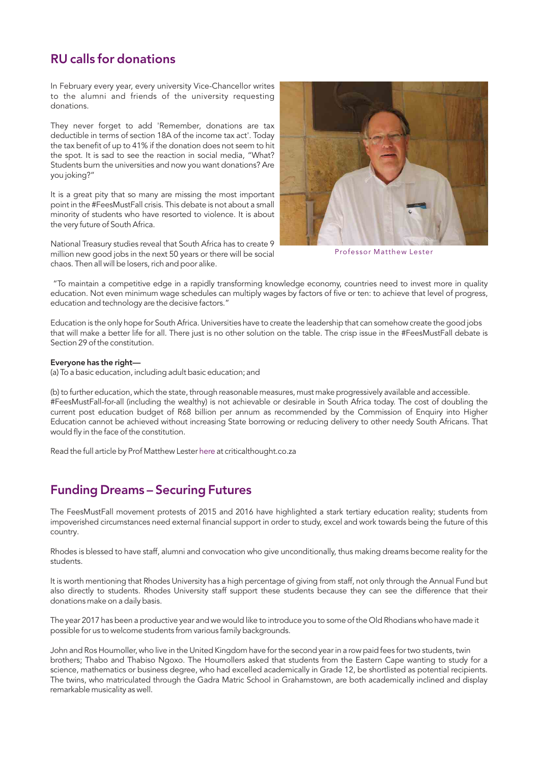## RU calls for donations

In February every year, every university Vice-Chancellor writes to the alumni and friends of the university requesting donations.

They never forget to add 'Remember, donations are tax deductible in terms of section 18A of the income tax act'. Today the tax benefit of up to 41% if the donation does not seem to hit the spot. It is sad to see the reaction in social media, "What? Students burn the universities and now you want donations? Are you joking?"

It is a great pity that so many are missing the most important point in the #FeesMustFall crisis. This debate is not about a small minority of students who have resorted to violence. It is about the very future of South Africa.

National Treasury studies reveal that South Africa has to create 9 million new good jobs in the next 50 years or there will be social chaos. Then all will be losers, rich and poor alike.



Professor Matthew Lester

"To maintain a competitive edge in a rapidly transforming knowledge economy, countries need to invest more in quality education. Not even minimum wage schedules can multiply wages by factors of five or ten: to achieve that level of progress, education and technology are the decisive factors."

Education is the only hope for South Africa. Universities have to create the leadership that can somehow create the good jobs that will make a better life for all. There just is no other solution on the table. The crisp issue in the #FeesMustFall debate is Section 29 of the constitution.

#### Everyone has the right—

(a) To a basic education, including adult basic education; and

(b) to further education, which the state, through reasonable measures, must make progressively available and accessible. #FeesMustFall-for-all (including the wealthy) is not achievable or desirable in South Africa today. The cost of doubling the current post education budget of R68 billion per annum as recommended by the Commission of Enquiry into Higher Education cannot be achieved without increasing State borrowing or reducing delivery to other needy South Africans. That would fly in the face of the constitution.

Read the full article by Prof Matthew Lester [here](http://criticalthought.co.za/author/matthewlester/) at criticalthought.co.za

## Funding Dreams – Securing Futures

The FeesMustFall movement protests of 2015 and 2016 have highlighted a stark tertiary education reality; students from impoverished circumstances need external financial support in order to study, excel and work towards being the future of this country.

Rhodes is blessed to have staff, alumni and convocation who give unconditionally, thus making dreams become reality for the students.

It is worth mentioning that Rhodes University has a high percentage of giving from staff, not only through the Annual Fund but also directly to students. Rhodes University staff support these students because they can see the difference that their donations make on a daily basis.

The year 2017 has been a productive year and we would like to introduce you to some of the Old Rhodians who have made it possible for us to welcome students from various family backgrounds.

John and Ros Houmoller, who live in the United Kingdom have for the second year in a row paid fees for two students, twin brothers; Thabo and Thabiso Ngoxo. The Houmollers asked that students from the Eastern Cape wanting to study for a science, mathematics or business degree, who had excelled academically in Grade 12, be shortlisted as potential recipients. The twins, who matriculated through the Gadra Matric School in Grahamstown, are both academically inclined and display remarkable musicality as well.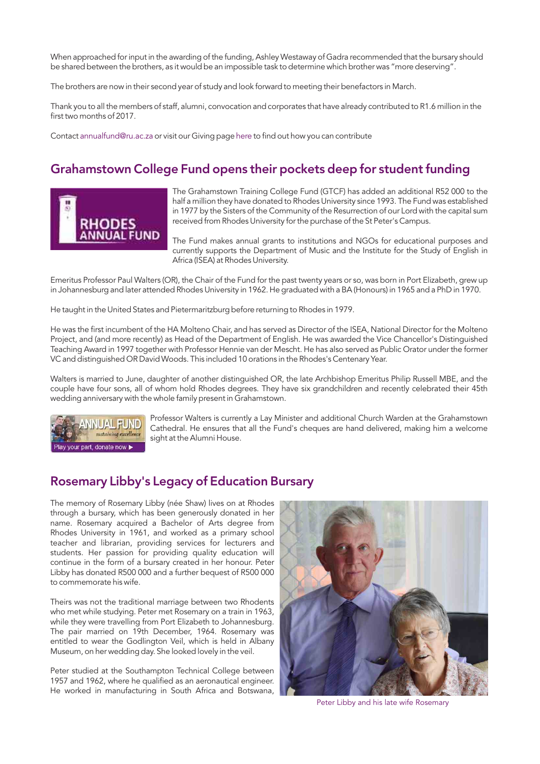When approached for input in the awarding of the funding, Ashley Westaway of Gadra recommended that the bursary should be shared between the brothers, as it would be an impossible task to determine which brother was "more deserving".

The brothers are now in their second year of study and look forward to meeting their benefactors in March.

Thank you to all the members of staff, alumni, convocation and corporates that have already contributed to R1.6 million in the first two months of 2017.

Contact [annualfund@ru.ac.za](mailto: annualfund@ru.ac.za) or visit our Giving pag[e here](https://www.ru.ac.za/alumnigiving/annualfund/) to find out how you can contribute

## Grahamstown College Fund opens their pockets deep for student funding



The Grahamstown Training College Fund (GTCF) has added an additional R52 000 to the half a million they have donated to Rhodes University since 1993. The Fund was established in 1977 by the Sisters of the Community of the Resurrection of our Lord with the capital sum received from Rhodes University for the purchase of the St Peter's Campus.

The Fund makes annual grants to institutions and NGOs for educational purposes and currently supports the Department of Music and the Institute for the Study of English in Africa (ISEA) at Rhodes University.

Emeritus Professor Paul Walters (OR), the Chair of the Fund for the past twenty years or so, was born in Port Elizabeth, grew up in Johannesburg and later attended Rhodes University in 1962. He graduated with a BA (Honours) in 1965 and a PhD in 1970.

He taught in the United States and Pietermaritzburg before returning to Rhodes in 1979.

He was the first incumbent of the HA Molteno Chair, and has served as Director of the ISEA, National Director for the Molteno Project, and (and more recently) as Head of the Department of English. He was awarded the Vice Chancellor's Distinguished Teaching Award in 1997 together with Professor Hennie van der Mescht. He has also served as Public Orator under the former VC and distinguished OR David Woods. This included 10 orations in the Rhodes's Centenary Year.

Walters is married to June, daughter of another distinguished OR, the late Archbishop Emeritus Philip Russell MBE, and the couple have four sons, all of whom hold Rhodes degrees. They have six grandchildren and recently celebrated their 45th wedding anniversary with the whole family present in Grahamstown.



Professor Walters is currently a Lay Minister and additional Church Warden at the Grahamstown Cathedral. He ensures that all the Fund's cheques are hand delivered, making him a welcome [s](https://www.ru.ac.za/alumnigiving/)ight at the Alumni House.

### Rosemary Libby's Legacy of Education Bursary

The memory of Rosemary Libby (née Shaw) lives on at Rhodes through a bursary, which has been generously donated in her name. Rosemary acquired a Bachelor of Arts degree from Rhodes University in 1961, and worked as a primary school teacher and librarian, providing services for lecturers and students. Her passion for providing quality education will continue in the form of a bursary created in her honour. Peter Libby has donated R500 000 and a further bequest of R500 000 to commemorate his wife.

Theirs was not the traditional marriage between two Rhodents who met while studying. Peter met Rosemary on a train in 1963, while they were travelling from Port Elizabeth to Johannesburg. The pair married on 19th December, 1964. Rosemary was entitled to wear the Godlington Veil, which is held in Albany Museum, on her wedding day. She looked lovely in the veil.

Peter studied at the Southampton Technical College between 1957 and 1962, where he qualified as an aeronautical engineer. He worked in manufacturing in South Africa and Botswana,



Peter Libby and his late wife Rosemary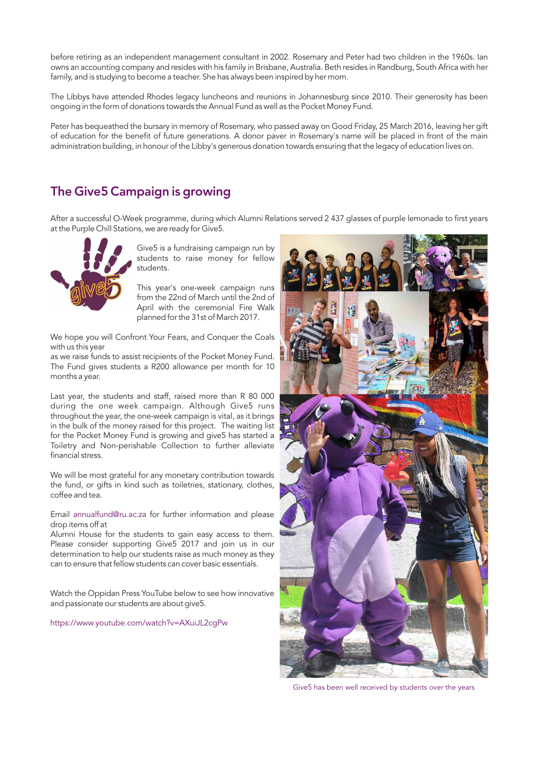before retiring as an independent management consultant in 2002. Rosemary and Peter had two children in the 1960s. Ian owns an accounting company and resides with his family in Brisbane, Australia. Beth resides in Randburg, South Africa with her family, and is studying to become a teacher. She has always been inspired by her mom.

The Libbys have attended Rhodes legacy luncheons and reunions in Johannesburg since 2010. Their generosity has been ongoing in the form of donations towards the Annual Fund as well as the Pocket Money Fund.

Peter has bequeathed the bursary in memory of Rosemary, who passed away on Good Friday, 25 March 2016, leaving her gift of education for the benefit of future generations. A donor paver in Rosemary's name will be placed in front of the main administration building, in honour of the Libby's generous donation towards ensuring that the legacy of education lives on.

## The Give5 Campaign is growing

After a successful O-Week programme, during which Alumni Relations served 2 437 glasses of purple lemonade to first years at the Purple Chill Stations, we are ready for Give5.



Give5 is a fundraising campaign run by students to raise money for fellow students.

This year's one-week campaign runs from the 22nd of March until the 2nd of April with the ceremonial Fire Walk planned for the 31st of March 2017.

We hope you will Confront Your Fears, and Conquer the Coals with us this year

as we raise funds to assist recipients of the Pocket Money Fund. The Fund gives students a R200 allowance per month for 10 months a year.

Last year, the students and staff, raised more than R 80 000 during the one week campaign. Although Give5 runs throughout the year, the one-week campaign is vital, as it brings in the bulk of the money raised for this project. The waiting list for the Pocket Money Fund is growing and give5 has started a Toiletry and Non-perishable Collection to further alleviate financial stress.

We will be most grateful for any monetary contribution towards the fund, or gifts in kind such as toiletries, stationary, clothes, coffee and tea.

Email annualfund@ru.ac.za for further information and please drop items off at

Alumni House for the students to gain easy access to them. Please consider supporting Give5 2017 and join us in our determination to help our students raise as much money as they can to ensure that fellow students can cover basic essentials.

Watch the Oppidan Press YouTube below to see how innovative and passionate our students are about give5.

<https://www.youtube.com/watch?v=AXuiJL2cgPw>



Give5 has been well received by students over the years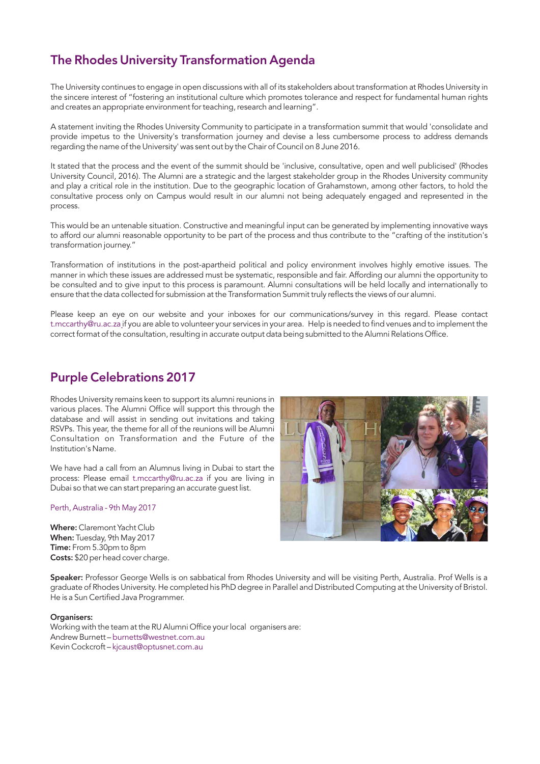# The Rhodes University Transformation Agenda

The University continues to engage in open discussions with all of its stakeholders about transformation at Rhodes University in the sincere interest of "fostering an institutional culture which promotes tolerance and respect for fundamental human rights and creates an appropriate environment for teaching, research and learning".

A statement inviting the Rhodes University Community to participate in a transformation summit that would 'consolidate and provide impetus to the University's transformation journey and devise a less cumbersome process to address demands regarding the name of the University' was sent out by the Chair of Council on 8 June 2016.

It stated that the process and the event of the summit should be 'inclusive, consultative, open and well publicised' (Rhodes University Council, 2016). The Alumni are a strategic and the largest stakeholder group in the Rhodes University community and play a critical role in the institution. Due to the geographic location of Grahamstown, among other factors, to hold the consultative process only on Campus would result in our alumni not being adequately engaged and represented in the process.

This would be an untenable situation. Constructive and meaningful input can be generated by implementing innovative ways to afford our alumni reasonable opportunity to be part of the process and thus contribute to the "crafting of the institution's transformation journey."

Transformation of institutions in the post-apartheid political and policy environment involves highly emotive issues. The manner in which these issues are addressed must be systematic, responsible and fair. Affording our alumni the opportunity to be consulted and to give input to this process is paramount. Alumni consultations will be held locally and internationally to ensure that the data collected for submission at the Transformation Summit truly reflects the views of our alumni.

Please keep an eye on our website and your inboxes for our communications/survey in this regard. Please contact t.mccarthy@ru.ac.za if you are able to volunteer your services in your area. Help is needed to find venues and to implement the correct format of the consultation, resulting in accurate output data being submitted to the Alumni Relations Office.

## Purple Celebrations 2017

Rhodes University remains keen to support its alumni reunions in various places. The Alumni Office will support this through the database and will assist in sending out invitations and taking RSVPs. This year, the theme for all of the reunions will be Alumni Consultation on Transformation and the Future of the Institution's Name.

We have had a call from an Alumnus living in Dubai to start the process: Please email t.mccarthy@ru.ac.za if you are living in Dubai so that we can start preparing an accurate guest list.

#### Perth, Australia - 9th May 2017

Where: Claremont Yacht Club When: Tuesday, 9th May 2017 Time: From 5.30pm to 8pm Costs: \$20 per head cover charge.



Speaker: Professor George Wells is on sabbatical from Rhodes University and will be visiting Perth, Australia. Prof Wells is a graduate of Rhodes University. He completed his PhD degree in Parallel and Distributed Computing at the University of Bristol. He is a Sun Certified Java Programmer.

#### Organisers:

Working with the team at the RU Alumni Office your local organisers are: Andrew Burnett – burnetts@westnet.com.au Kevin Cockcroft – kjcaust@optusnet.com.au